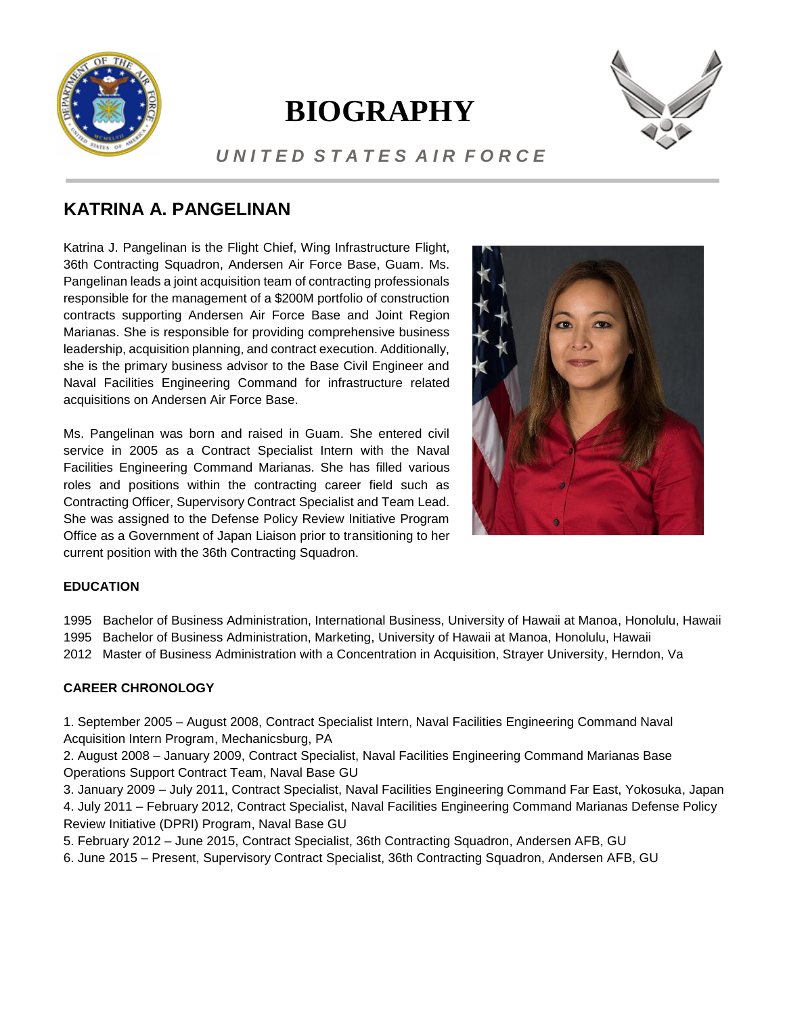

# **BIOGRAPHY**



### *U N I T E D S T A T E S A I R F O R C E*

## **KATRINA A. PANGELINAN**

Katrina J. Pangelinan is the Flight Chief, Wing Infrastructure Flight, 36th Contracting Squadron, Andersen Air Force Base, Guam. Ms. Pangelinan leads a joint acquisition team of contracting professionals responsible for the management of a \$200M portfolio of construction contracts supporting Andersen Air Force Base and Joint Region Marianas. She is responsible for providing comprehensive business leadership, acquisition planning, and contract execution. Additionally, she is the primary business advisor to the Base Civil Engineer and Naval Facilities Engineering Command for infrastructure related acquisitions on Andersen Air Force Base.

Ms. Pangelinan was born and raised in Guam. She entered civil service in 2005 as a Contract Specialist Intern with the Naval Facilities Engineering Command Marianas. She has filled various roles and positions within the contracting career field such as Contracting Officer, Supervisory Contract Specialist and Team Lead. She was assigned to the Defense Policy Review Initiative Program Office as a Government of Japan Liaison prior to transitioning to her current position with the 36th Contracting Squadron.



#### **EDUCATION**

1995 Bachelor of Business Administration, International Business, University of Hawaii at Manoa, Honolulu, Hawaii **2.75" x 3.5"** 1995 Bachelor of Business Administration, Marketing, University of Hawaii at Manoa, Honolulu, Hawaii

2012 Master of Business Administration with a Concentration in Acquisition, Strayer University, Herndon, Va

#### **CAREER CHRONOLOGY**

1. September 2005 – August 2008, Contract Specialist Intern, Naval Facilities Engineering Command Naval **.5" from Right Edge**Acquisition Intern Program, Mechanicsburg, PA

2. August 2008 – January 2009, Contract Specialist, Naval Facilities Engineering Command Marianas Base Operations Support Contract Team, Naval Base GU

3. January 2009 – July 2011, Contract Specialist, Naval Facilities Engineering Command Far East, Yokosuka, Japan 4. July 2011 – February 2012, Contract Specialist, Naval Facilities Engineering Command Marianas Defense Policy Review Initiative (DPRI) Program, Naval Base GU

5. February 2012 – June 2015, Contract Specialist, 36th Contracting Squadron, Andersen AFB, GU

6. June 2015 – Present, Supervisory Contract Specialist, 36th Contracting Squadron, Andersen AFB, GU